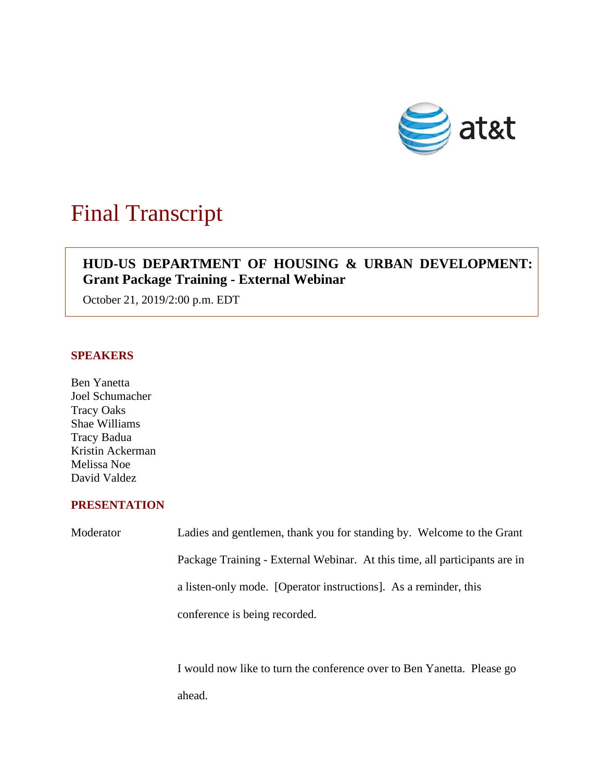

# Final Transcript

## $\overline{\phantom{a}}$ **HUD-US DEPARTMENT OF HOUSING & URBAN DEVELOPMENT: Grant Package Training - External Webinar**

October 21, 2019/2:00 p.m. EDT

#### **SPEAKERS**

Ben Yanetta Joel Schumacher Tracy Oaks Shae Williams Tracy Badua Kristin Ackerman Melissa Noe David Valdez

### **PRESENTATION**

Moderator Ladies and gentlemen, thank you for standing by. Welcome to the Grant Package Training - External Webinar. At this time, all participants are in a listen-only mode. [Operator instructions]. As a reminder, this conference is being recorded.

> I would now like to turn the conference over to Ben Yanetta. Please go ahead.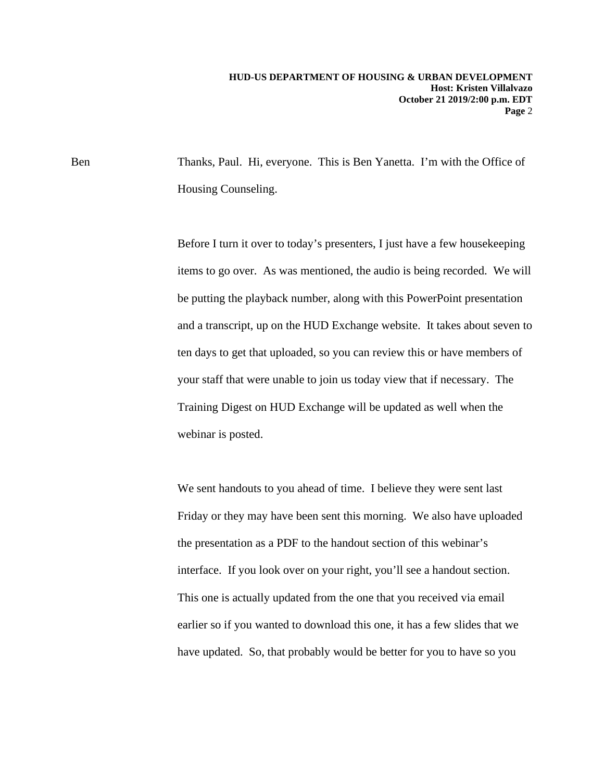Ben Thanks, Paul. Hi, everyone. This is Ben Yanetta. I'm with the Office of Housing Counseling.

> Before I turn it over to today's presenters, I just have a few housekeeping items to go over. As was mentioned, the audio is being recorded. We will be putting the playback number, along with this PowerPoint presentation and a transcript, up on the HUD Exchange website. It takes about seven to ten days to get that uploaded, so you can review this or have members of your staff that were unable to join us today view that if necessary. The Training Digest on HUD Exchange will be updated as well when the webinar is posted.

We sent handouts to you ahead of time. I believe they were sent last Friday or they may have been sent this morning. We also have uploaded the presentation as a PDF to the handout section of this webinar's interface. If you look over on your right, you'll see a handout section. This one is actually updated from the one that you received via email earlier so if you wanted to download this one, it has a few slides that we have updated. So, that probably would be better for you to have so you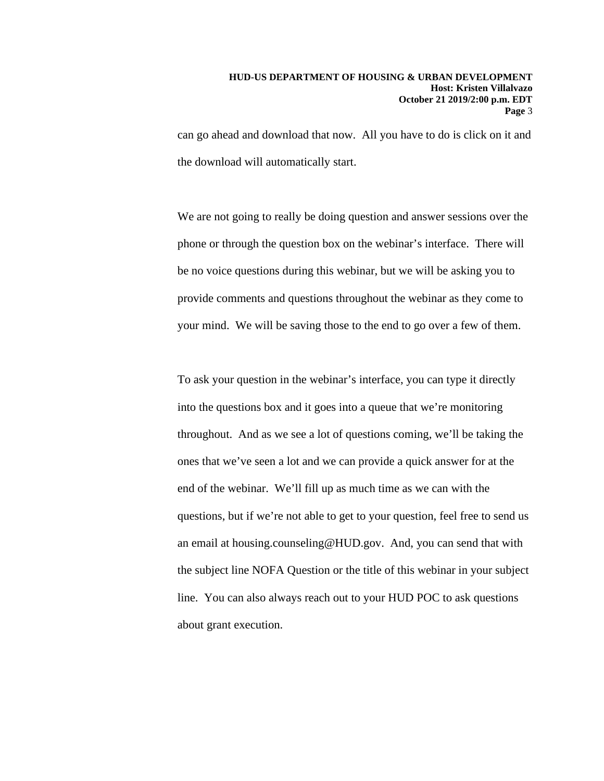can go ahead and download that now. All you have to do is click on it and the download will automatically start.

We are not going to really be doing question and answer sessions over the phone or through the question box on the webinar's interface. There will be no voice questions during this webinar, but we will be asking you to provide comments and questions throughout the webinar as they come to your mind. We will be saving those to the end to go over a few of them.

To ask your question in the webinar's interface, you can type it directly into the questions box and it goes into a queue that we're monitoring throughout. And as we see a lot of questions coming, we'll be taking the ones that we've seen a lot and we can provide a quick answer for at the end of the webinar. We'll fill up as much time as we can with the questions, but if we're not able to get to your question, feel free to send us an email at housing.counseling@HUD.gov. And, you can send that with the subject line NOFA Question or the title of this webinar in your subject line. You can also always reach out to your HUD POC to ask questions about grant execution.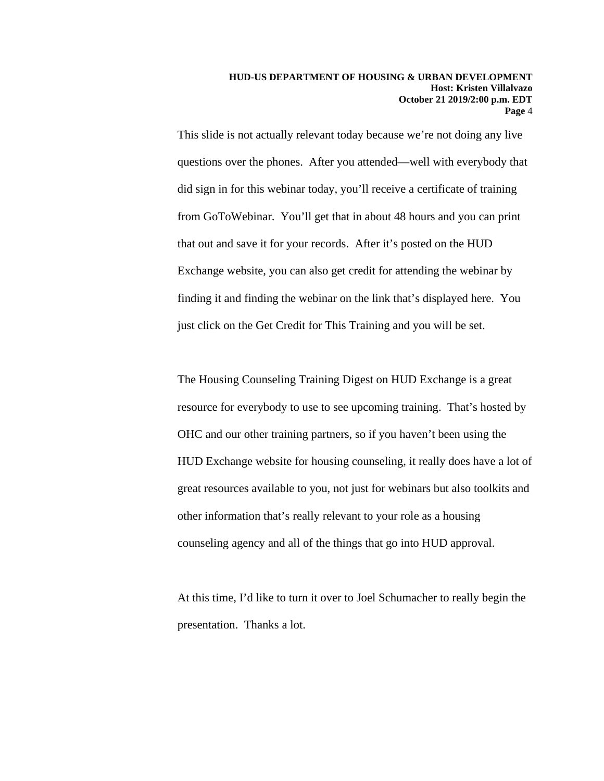This slide is not actually relevant today because we're not doing any live questions over the phones. After you attended—well with everybody that did sign in for this webinar today, you'll receive a certificate of training from GoToWebinar. You'll get that in about 48 hours and you can print that out and save it for your records. After it's posted on the HUD Exchange website, you can also get credit for attending the webinar by finding it and finding the webinar on the link that's displayed here. You just click on the Get Credit for This Training and you will be set.

The Housing Counseling Training Digest on HUD Exchange is a great resource for everybody to use to see upcoming training. That's hosted by OHC and our other training partners, so if you haven't been using the HUD Exchange website for housing counseling, it really does have a lot of great resources available to you, not just for webinars but also toolkits and other information that's really relevant to your role as a housing counseling agency and all of the things that go into HUD approval.

At this time, I'd like to turn it over to Joel Schumacher to really begin the presentation. Thanks a lot.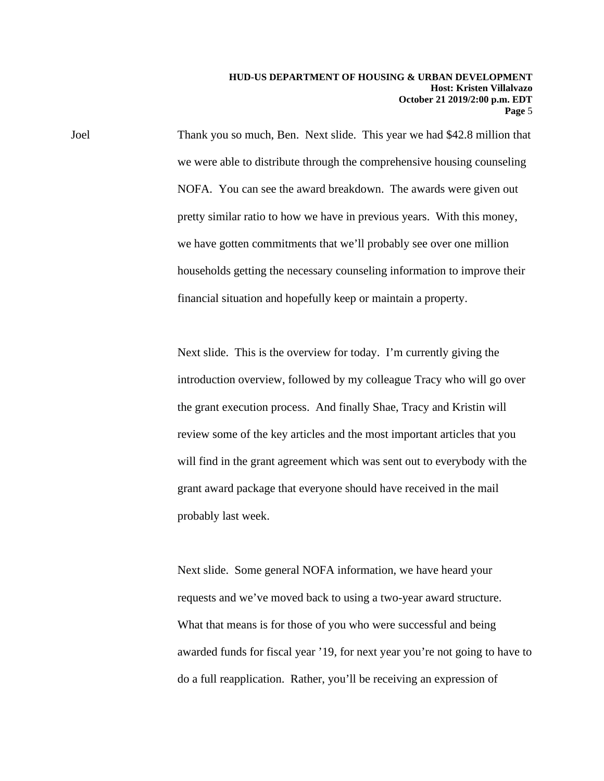Joel Thank you so much, Ben. Next slide. This year we had \$42.8 million that we were able to distribute through the comprehensive housing counseling NOFA. You can see the award breakdown. The awards were given out pretty similar ratio to how we have in previous years. With this money, we have gotten commitments that we'll probably see over one million households getting the necessary counseling information to improve their financial situation and hopefully keep or maintain a property.

> Next slide. This is the overview for today. I'm currently giving the introduction overview, followed by my colleague Tracy who will go over the grant execution process. And finally Shae, Tracy and Kristin will review some of the key articles and the most important articles that you will find in the grant agreement which was sent out to everybody with the grant award package that everyone should have received in the mail probably last week.

Next slide. Some general NOFA information, we have heard your requests and we've moved back to using a two-year award structure. What that means is for those of you who were successful and being awarded funds for fiscal year '19, for next year you're not going to have to do a full reapplication. Rather, you'll be receiving an expression of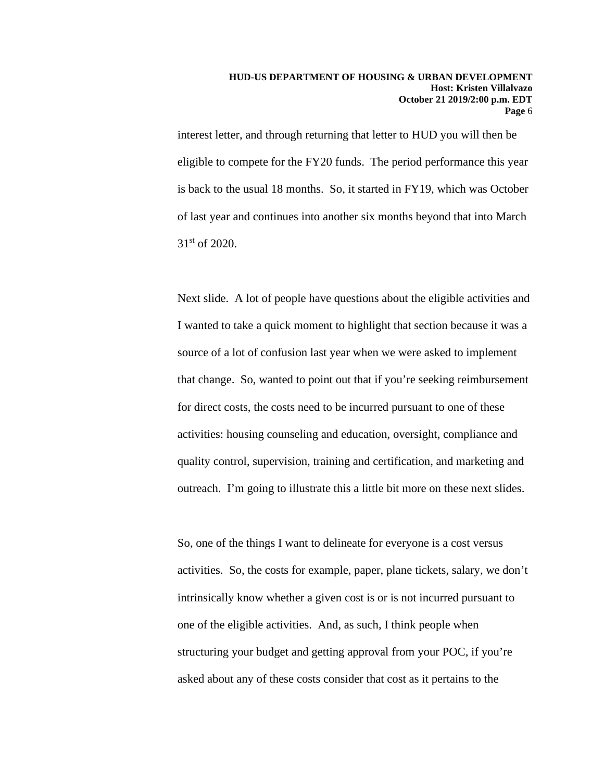interest letter, and through returning that letter to HUD you will then be eligible to compete for the FY20 funds. The period performance this year is back to the usual 18 months. So, it started in FY19, which was October of last year and continues into another six months beyond that into March 31st of 2020.

Next slide. A lot of people have questions about the eligible activities and I wanted to take a quick moment to highlight that section because it was a source of a lot of confusion last year when we were asked to implement that change. So, wanted to point out that if you're seeking reimbursement for direct costs, the costs need to be incurred pursuant to one of these activities: housing counseling and education, oversight, compliance and quality control, supervision, training and certification, and marketing and outreach. I'm going to illustrate this a little bit more on these next slides.

So, one of the things I want to delineate for everyone is a cost versus activities. So, the costs for example, paper, plane tickets, salary, we don't intrinsically know whether a given cost is or is not incurred pursuant to one of the eligible activities. And, as such, I think people when structuring your budget and getting approval from your POC, if you're asked about any of these costs consider that cost as it pertains to the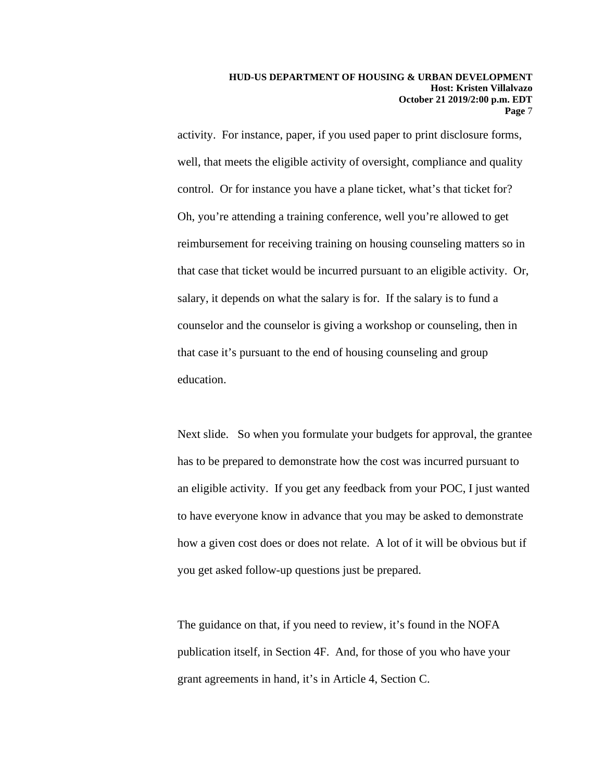activity. For instance, paper, if you used paper to print disclosure forms, well, that meets the eligible activity of oversight, compliance and quality control. Or for instance you have a plane ticket, what's that ticket for? Oh, you're attending a training conference, well you're allowed to get reimbursement for receiving training on housing counseling matters so in that case that ticket would be incurred pursuant to an eligible activity. Or, salary, it depends on what the salary is for. If the salary is to fund a counselor and the counselor is giving a workshop or counseling, then in that case it's pursuant to the end of housing counseling and group education.

Next slide. So when you formulate your budgets for approval, the grantee has to be prepared to demonstrate how the cost was incurred pursuant to an eligible activity. If you get any feedback from your POC, I just wanted to have everyone know in advance that you may be asked to demonstrate how a given cost does or does not relate. A lot of it will be obvious but if you get asked follow-up questions just be prepared.

 The guidance on that, if you need to review, it's found in the NOFA publication itself, in Section 4F. And, for those of you who have your grant agreements in hand, it's in Article 4, Section C.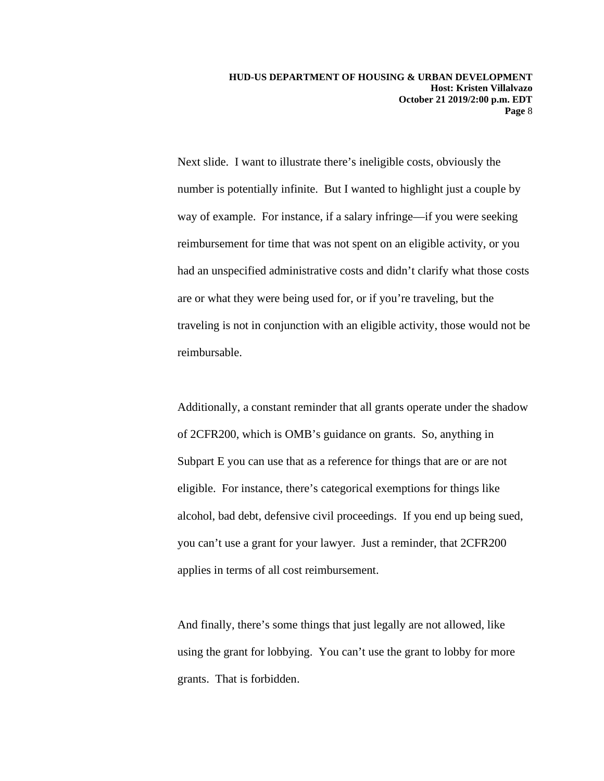Next slide. I want to illustrate there's ineligible costs, obviously the number is potentially infinite. But I wanted to highlight just a couple by way of example. For instance, if a salary infringe—if you were seeking reimbursement for time that was not spent on an eligible activity, or you had an unspecified administrative costs and didn't clarify what those costs are or what they were being used for, or if you're traveling, but the traveling is not in conjunction with an eligible activity, those would not be reimbursable.

Additionally, a constant reminder that all grants operate under the shadow of 2CFR200, which is OMB's guidance on grants. So, anything in Subpart E you can use that as a reference for things that are or are not eligible. For instance, there's categorical exemptions for things like alcohol, bad debt, defensive civil proceedings. If you end up being sued, you can't use a grant for your lawyer. Just a reminder, that 2CFR200 applies in terms of all cost reimbursement.

And finally, there's some things that just legally are not allowed, like using the grant for lobbying. You can't use the grant to lobby for more grants. That is forbidden.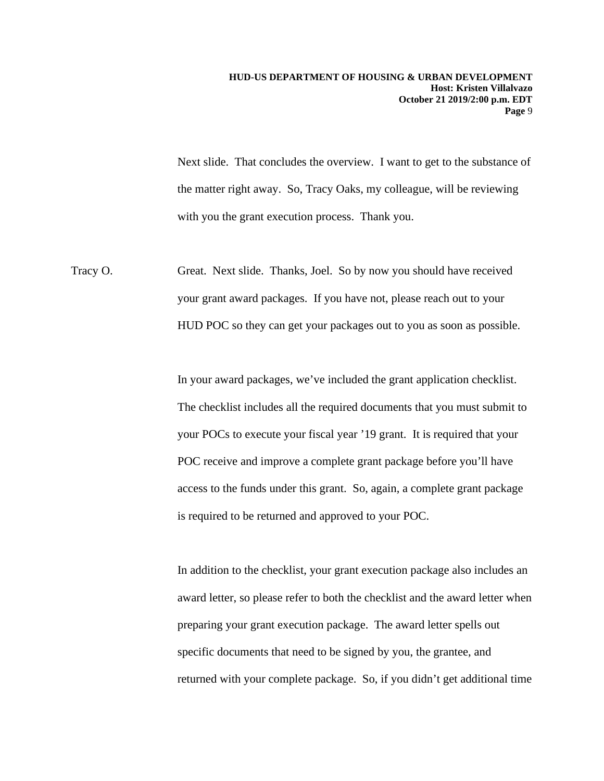Next slide. That concludes the overview. I want to get to the substance of the matter right away. So, Tracy Oaks, my colleague, will be reviewing with you the grant execution process. Thank you.

Tracy O. Great. Next slide. Thanks, Joel. So by now you should have received your grant award packages. If you have not, please reach out to your HUD POC so they can get your packages out to you as soon as possible.

> In your award packages, we've included the grant application checklist. The checklist includes all the required documents that you must submit to your POCs to execute your fiscal year '19 grant. It is required that your POC receive and improve a complete grant package before you'll have access to the funds under this grant. So, again, a complete grant package is required to be returned and approved to your POC.

In addition to the checklist, your grant execution package also includes an award letter, so please refer to both the checklist and the award letter when preparing your grant execution package. The award letter spells out specific documents that need to be signed by you, the grantee, and returned with your complete package. So, if you didn't get additional time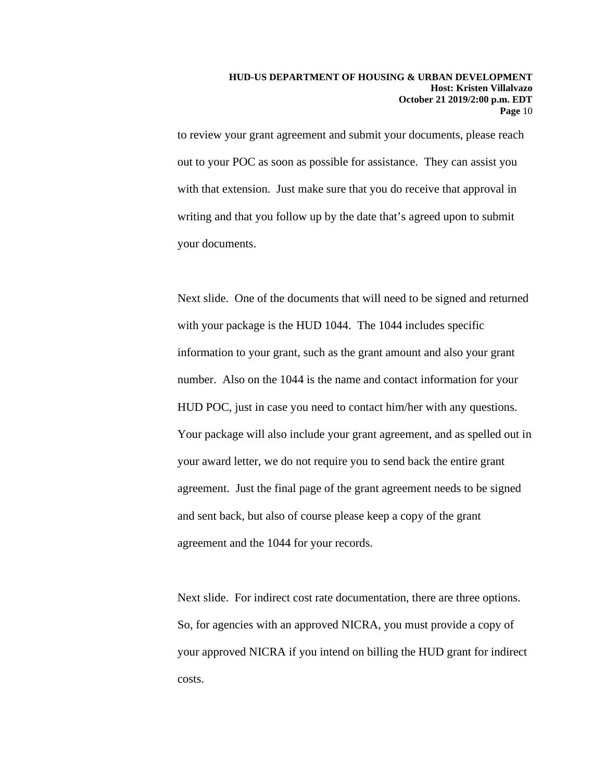to review your grant agreement and submit your documents, please reach out to your POC as soon as possible for assistance. They can assist you with that extension. Just make sure that you do receive that approval in writing and that you follow up by the date that's agreed upon to submit your documents.

Next slide. One of the documents that will need to be signed and returned with your package is the HUD 1044. The 1044 includes specific information to your grant, such as the grant amount and also your grant number. Also on the 1044 is the name and contact information for your HUD POC, just in case you need to contact him/her with any questions. Your package will also include your grant agreement, and as spelled out in your award letter, we do not require you to send back the entire grant agreement. Just the final page of the grant agreement needs to be signed and sent back, but also of course please keep a copy of the grant agreement and the 1044 for your records.

Next slide. For indirect cost rate documentation, there are three options. So, for agencies with an approved NICRA, you must provide a copy of your approved NICRA if you intend on billing the HUD grant for indirect costs.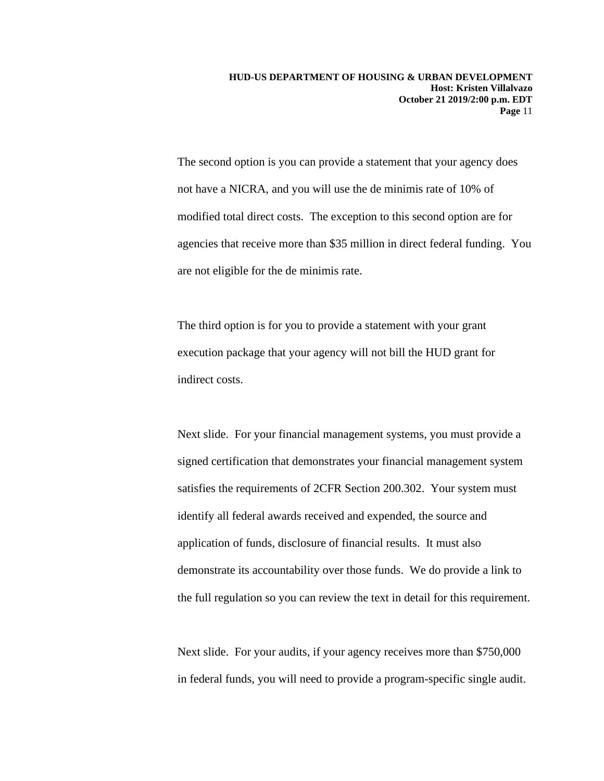The second option is you can provide a statement that your agency does not have a NICRA, and you will use the de minimis rate of 10% of modified total direct costs. The exception to this second option are for agencies that receive more than \$35 million in direct federal funding. You are not eligible for the de minimis rate.

The third option is for you to provide a statement with your grant execution package that your agency will not bill the HUD grant for indirect costs.

Next slide. For your financial management systems, you must provide a signed certification that demonstrates your financial management system satisfies the requirements of 2CFR Section 200.302. Your system must identify all federal awards received and expended, the source and application of funds, disclosure of financial results. It must also demonstrate its accountability over those funds. We do provide a link to the full regulation so you can review the text in detail for this requirement.

Next slide. For your audits, if your agency receives more than \$750,000 in federal funds, you will need to provide a program-specific single audit.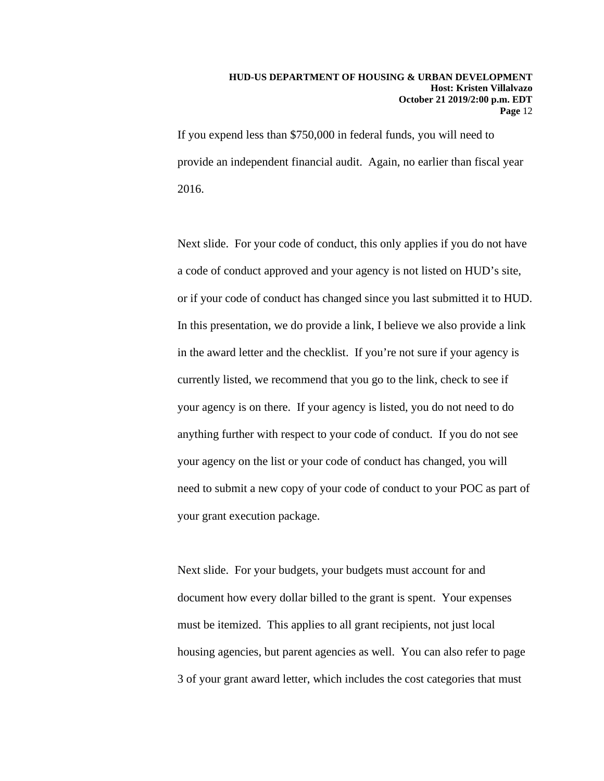If you expend less than \$750,000 in federal funds, you will need to provide an independent financial audit. Again, no earlier than fiscal year 2016.

Next slide. For your code of conduct, this only applies if you do not have a code of conduct approved and your agency is not listed on HUD's site, or if your code of conduct has changed since you last submitted it to HUD. In this presentation, we do provide a link, I believe we also provide a link in the award letter and the checklist. If you're not sure if your agency is currently listed, we recommend that you go to the link, check to see if your agency is on there. If your agency is listed, you do not need to do anything further with respect to your code of conduct. If you do not see your agency on the list or your code of conduct has changed, you will need to submit a new copy of your code of conduct to your POC as part of your grant execution package.

Next slide. For your budgets, your budgets must account for and document how every dollar billed to the grant is spent. Your expenses must be itemized. This applies to all grant recipients, not just local housing agencies, but parent agencies as well. You can also refer to page 3 of your grant award letter, which includes the cost categories that must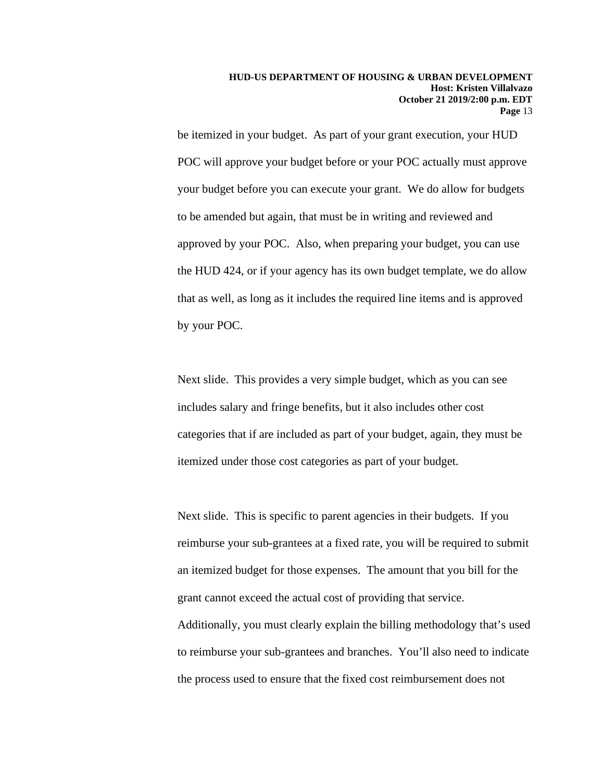be itemized in your budget. As part of your grant execution, your HUD POC will approve your budget before or your POC actually must approve your budget before you can execute your grant. We do allow for budgets to be amended but again, that must be in writing and reviewed and approved by your POC. Also, when preparing your budget, you can use the HUD 424, or if your agency has its own budget template, we do allow that as well, as long as it includes the required line items and is approved by your POC.

Next slide. This provides a very simple budget, which as you can see includes salary and fringe benefits, but it also includes other cost categories that if are included as part of your budget, again, they must be itemized under those cost categories as part of your budget.

Next slide. This is specific to parent agencies in their budgets. If you reimburse your sub-grantees at a fixed rate, you will be required to submit an itemized budget for those expenses. The amount that you bill for the grant cannot exceed the actual cost of providing that service. Additionally, you must clearly explain the billing methodology that's used to reimburse your sub-grantees and branches. You'll also need to indicate the process used to ensure that the fixed cost reimbursement does not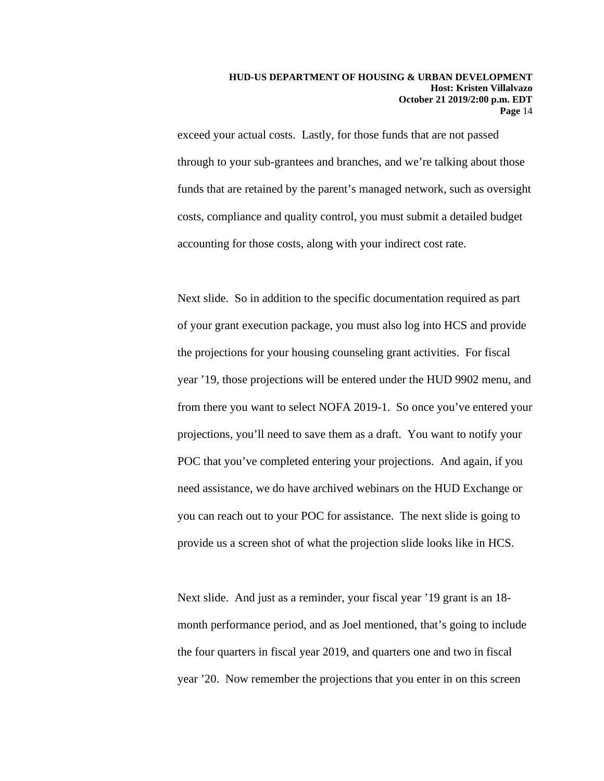exceed your actual costs. Lastly, for those funds that are not passed through to your sub-grantees and branches, and we're talking about those funds that are retained by the parent's managed network, such as oversight costs, compliance and quality control, you must submit a detailed budget accounting for those costs, along with your indirect cost rate.

Next slide. So in addition to the specific documentation required as part of your grant execution package, you must also log into HCS and provide the projections for your housing counseling grant activities. For fiscal year '19, those projections will be entered under the HUD 9902 menu, and from there you want to select NOFA 2019-1. So once you've entered your projections, you'll need to save them as a draft. You want to notify your POC that you've completed entering your projections. And again, if you need assistance, we do have archived webinars on the HUD Exchange or you can reach out to your POC for assistance. The next slide is going to provide us a screen shot of what the projection slide looks like in HCS.

Next slide. And just as a reminder, your fiscal year '19 grant is an 18 month performance period, and as Joel mentioned, that's going to include the four quarters in fiscal year 2019, and quarters one and two in fiscal year '20. Now remember the projections that you enter in on this screen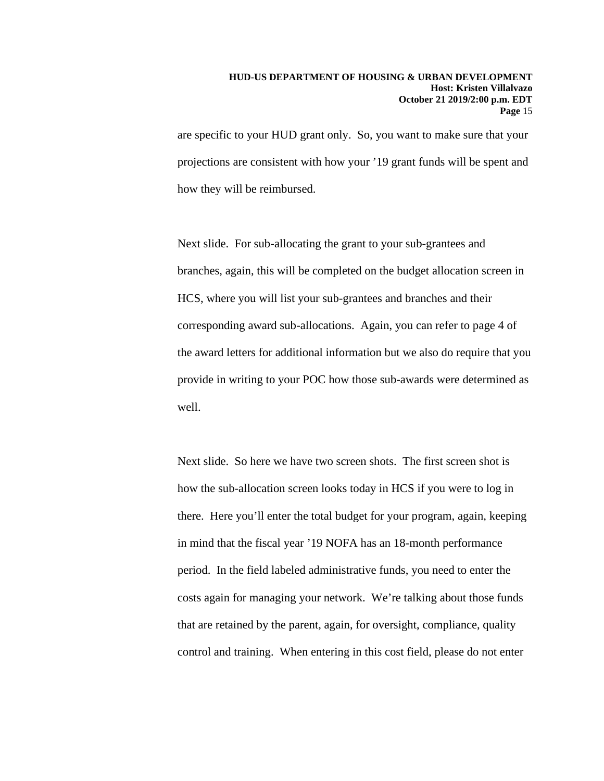are specific to your HUD grant only. So, you want to make sure that your projections are consistent with how your '19 grant funds will be spent and how they will be reimbursed.

Next slide. For sub-allocating the grant to your sub-grantees and branches, again, this will be completed on the budget allocation screen in HCS, where you will list your sub-grantees and branches and their corresponding award sub-allocations. Again, you can refer to page 4 of the award letters for additional information but we also do require that you provide in writing to your POC how those sub-awards were determined as well.

Next slide. So here we have two screen shots. The first screen shot is how the sub-allocation screen looks today in HCS if you were to log in there. Here you'll enter the total budget for your program, again, keeping in mind that the fiscal year '19 NOFA has an 18-month performance period. In the field labeled administrative funds, you need to enter the costs again for managing your network. We're talking about those funds that are retained by the parent, again, for oversight, compliance, quality control and training. When entering in this cost field, please do not enter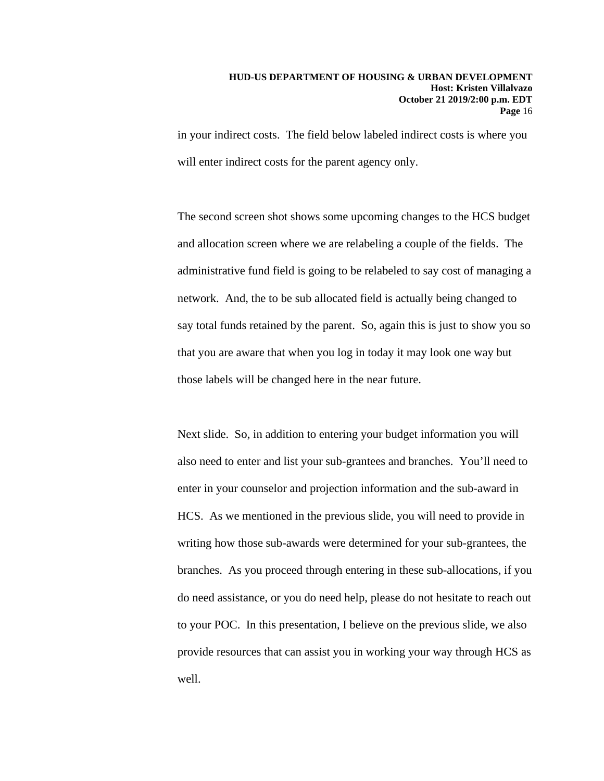in your indirect costs. The field below labeled indirect costs is where you will enter indirect costs for the parent agency only.

The second screen shot shows some upcoming changes to the HCS budget and allocation screen where we are relabeling a couple of the fields. The administrative fund field is going to be relabeled to say cost of managing a network. And, the to be sub allocated field is actually being changed to say total funds retained by the parent. So, again this is just to show you so that you are aware that when you log in today it may look one way but those labels will be changed here in the near future.

Next slide. So, in addition to entering your budget information you will also need to enter and list your sub-grantees and branches. You'll need to enter in your counselor and projection information and the sub-award in HCS. As we mentioned in the previous slide, you will need to provide in writing how those sub-awards were determined for your sub-grantees, the branches. As you proceed through entering in these sub-allocations, if you do need assistance, or you do need help, please do not hesitate to reach out to your POC. In this presentation, I believe on the previous slide, we also provide resources that can assist you in working your way through HCS as well.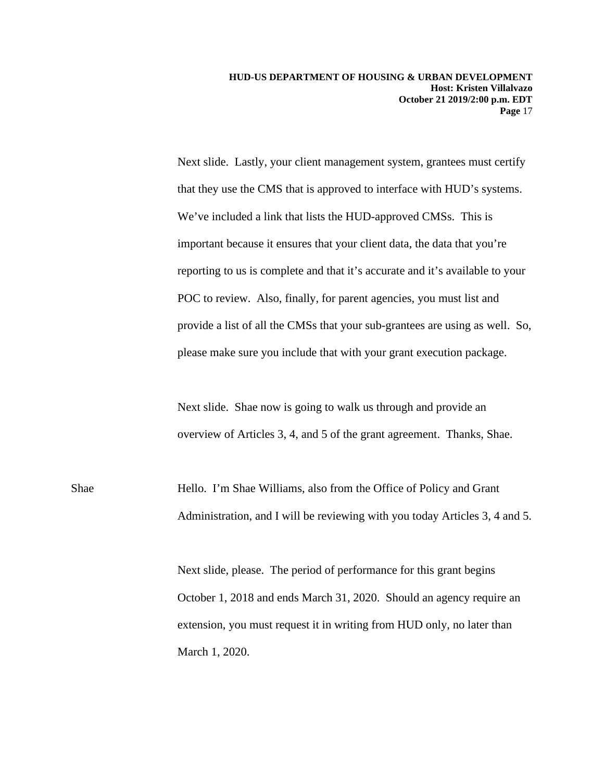Next slide. Lastly, your client management system, grantees must certify that they use the CMS that is approved to interface with HUD's systems. We've included a link that lists the HUD-approved CMSs. This is important because it ensures that your client data, the data that you're reporting to us is complete and that it's accurate and it's available to your POC to review. Also, finally, for parent agencies, you must list and provide a list of all the CMSs that your sub-grantees are using as well. So, please make sure you include that with your grant execution package.

Next slide. Shae now is going to walk us through and provide an overview of Articles 3, 4, and 5 of the grant agreement. Thanks, Shae.

Shae Hello. I'm Shae Williams, also from the Office of Policy and Grant Administration, and I will be reviewing with you today Articles 3, 4 and 5.

> Next slide, please. The period of performance for this grant begins October 1, 2018 and ends March 31, 2020. Should an agency require an extension, you must request it in writing from HUD only, no later than March 1, 2020.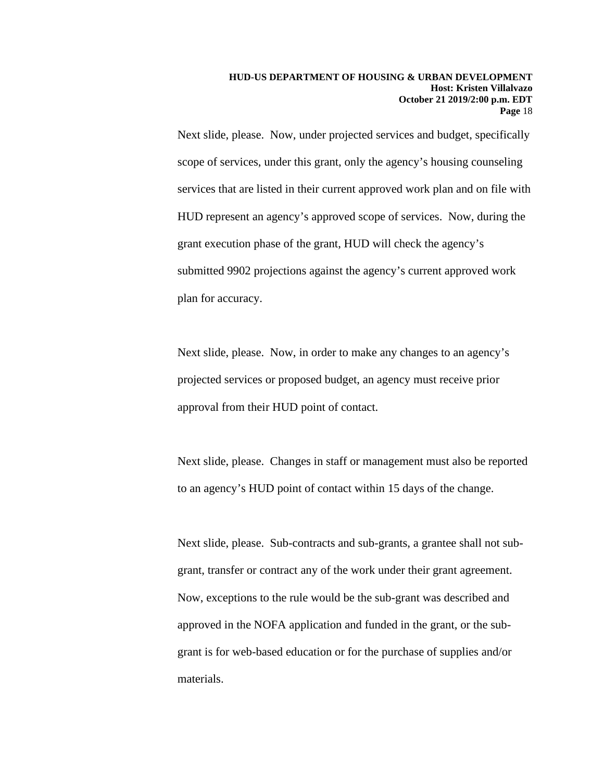Next slide, please. Now, under projected services and budget, specifically scope of services, under this grant, only the agency's housing counseling services that are listed in their current approved work plan and on file with HUD represent an agency's approved scope of services. Now, during the grant execution phase of the grant, HUD will check the agency's submitted 9902 projections against the agency's current approved work plan for accuracy.

Next slide, please. Now, in order to make any changes to an agency's projected services or proposed budget, an agency must receive prior approval from their HUD point of contact.

Next slide, please. Changes in staff or management must also be reported to an agency's HUD point of contact within 15 days of the change.

Next slide, please. Sub-contracts and sub-grants, a grantee shall not subgrant, transfer or contract any of the work under their grant agreement. Now, exceptions to the rule would be the sub-grant was described and approved in the NOFA application and funded in the grant, or the subgrant is for web-based education or for the purchase of supplies and/or materials.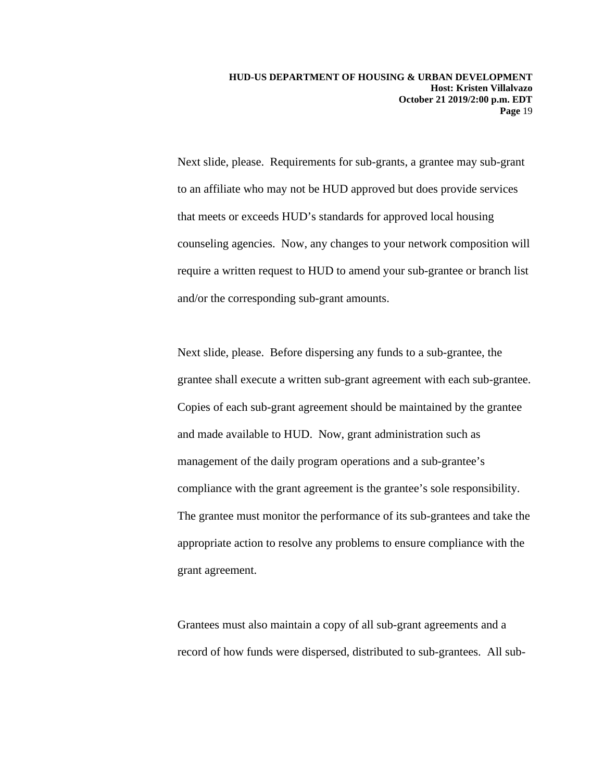Next slide, please. Requirements for sub-grants, a grantee may sub-grant to an affiliate who may not be HUD approved but does provide services that meets or exceeds HUD's standards for approved local housing counseling agencies. Now, any changes to your network composition will require a written request to HUD to amend your sub-grantee or branch list and/or the corresponding sub-grant amounts.

Next slide, please. Before dispersing any funds to a sub-grantee, the grantee shall execute a written sub-grant agreement with each sub-grantee. Copies of each sub-grant agreement should be maintained by the grantee and made available to HUD. Now, grant administration such as management of the daily program operations and a sub-grantee's compliance with the grant agreement is the grantee's sole responsibility. The grantee must monitor the performance of its sub-grantees and take the appropriate action to resolve any problems to ensure compliance with the grant agreement.

Grantees must also maintain a copy of all sub-grant agreements and a record of how funds were dispersed, distributed to sub-grantees. All sub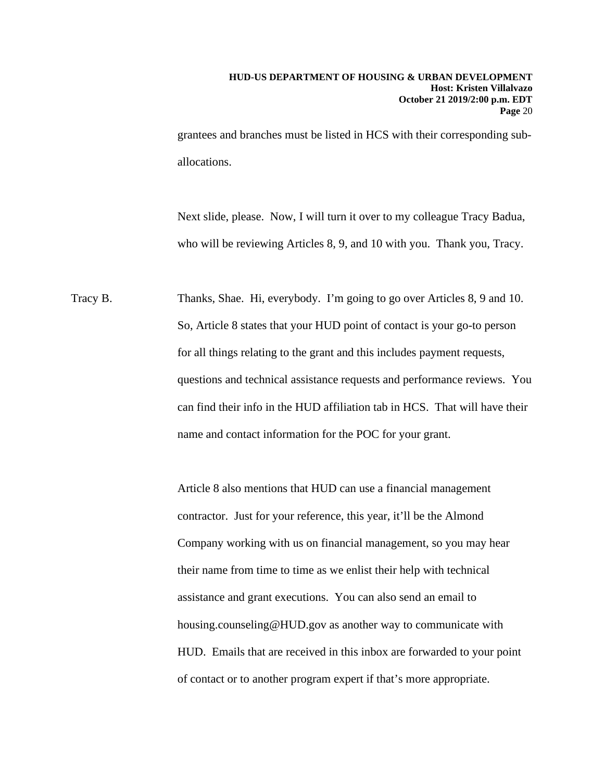grantees and branches must be listed in HCS with their corresponding suballocations.

Next slide, please. Now, I will turn it over to my colleague Tracy Badua, who will be reviewing Articles 8, 9, and 10 with you. Thank you, Tracy.

Tracy B. Thanks, Shae. Hi, everybody. I'm going to go over Articles 8, 9 and 10. So, Article 8 states that your HUD point of contact is your go-to person for all things relating to the grant and this includes payment requests, questions and technical assistance requests and performance reviews. You can find their info in the HUD affiliation tab in HCS. That will have their name and contact information for the POC for your grant.

> Article 8 also mentions that HUD can use a financial management contractor. Just for your reference, this year, it'll be the Almond Company working with us on financial management, so you may hear their name from time to time as we enlist their help with technical assistance and grant executions. You can also send an email to housing.counseling@HUD.gov as another way to communicate with HUD. Emails that are received in this inbox are forwarded to your point of contact or to another program expert if that's more appropriate.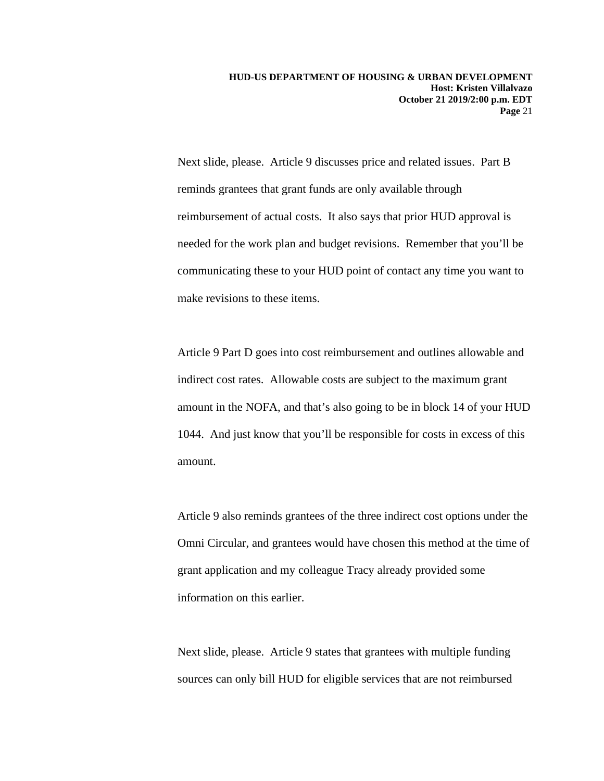Next slide, please. Article 9 discusses price and related issues. Part B reminds grantees that grant funds are only available through reimbursement of actual costs. It also says that prior HUD approval is needed for the work plan and budget revisions. Remember that you'll be communicating these to your HUD point of contact any time you want to make revisions to these items.

Article 9 Part D goes into cost reimbursement and outlines allowable and indirect cost rates. Allowable costs are subject to the maximum grant amount in the NOFA, and that's also going to be in block 14 of your HUD 1044. And just know that you'll be responsible for costs in excess of this amount.

Article 9 also reminds grantees of the three indirect cost options under the Omni Circular, and grantees would have chosen this method at the time of grant application and my colleague Tracy already provided some information on this earlier.

Next slide, please. Article 9 states that grantees with multiple funding sources can only bill HUD for eligible services that are not reimbursed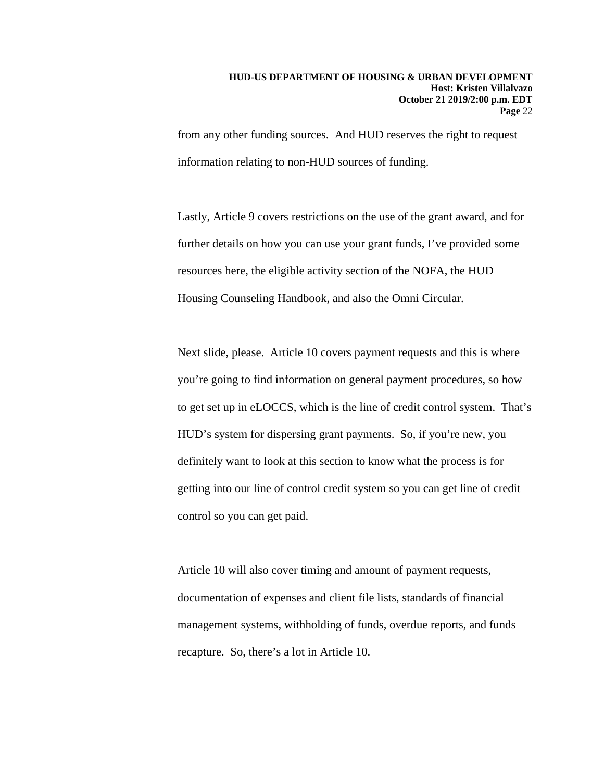from any other funding sources. And HUD reserves the right to request information relating to non-HUD sources of funding.

Lastly, Article 9 covers restrictions on the use of the grant award, and for further details on how you can use your grant funds, I've provided some resources here, the eligible activity section of the NOFA, the HUD Housing Counseling Handbook, and also the Omni Circular.

Next slide, please. Article 10 covers payment requests and this is where you're going to find information on general payment procedures, so how to get set up in eLOCCS, which is the line of credit control system. That's HUD's system for dispersing grant payments. So, if you're new, you definitely want to look at this section to know what the process is for getting into our line of control credit system so you can get line of credit control so you can get paid.

Article 10 will also cover timing and amount of payment requests, documentation of expenses and client file lists, standards of financial management systems, withholding of funds, overdue reports, and funds recapture. So, there's a lot in Article 10.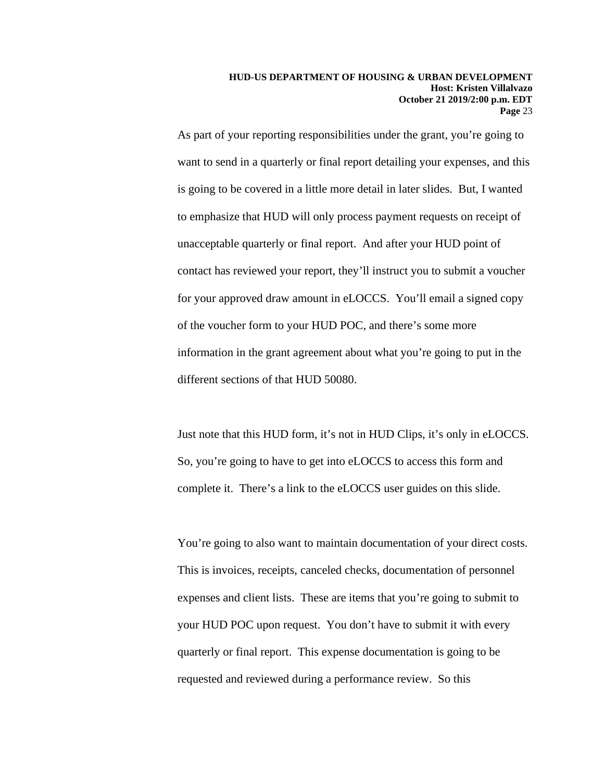As part of your reporting responsibilities under the grant, you're going to want to send in a quarterly or final report detailing your expenses, and this is going to be covered in a little more detail in later slides. But, I wanted to emphasize that HUD will only process payment requests on receipt of unacceptable quarterly or final report. And after your HUD point of contact has reviewed your report, they'll instruct you to submit a voucher for your approved draw amount in eLOCCS. You'll email a signed copy of the voucher form to your HUD POC, and there's some more information in the grant agreement about what you're going to put in the different sections of that HUD 50080.

Just note that this HUD form, it's not in HUD Clips, it's only in eLOCCS. So, you're going to have to get into eLOCCS to access this form and complete it. There's a link to the eLOCCS user guides on this slide.

You're going to also want to maintain documentation of your direct costs. This is invoices, receipts, canceled checks, documentation of personnel expenses and client lists. These are items that you're going to submit to your HUD POC upon request. You don't have to submit it with every quarterly or final report. This expense documentation is going to be requested and reviewed during a performance review. So this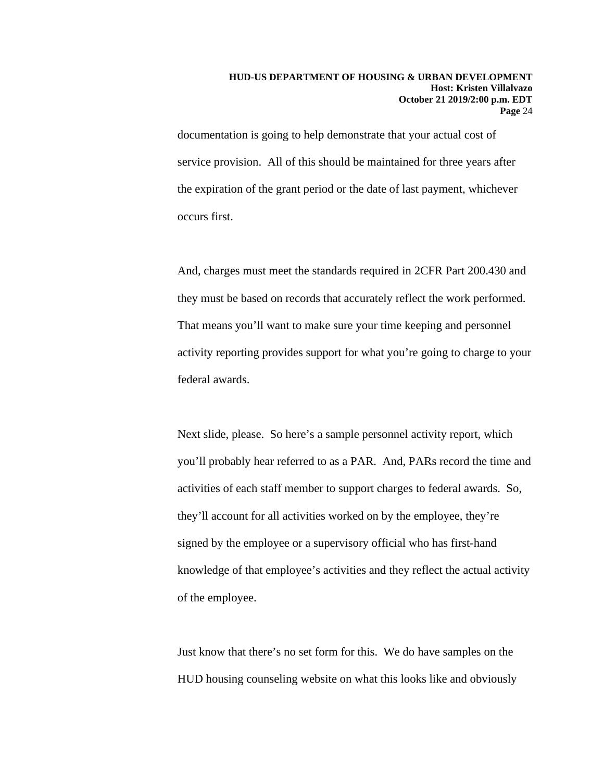documentation is going to help demonstrate that your actual cost of service provision. All of this should be maintained for three years after the expiration of the grant period or the date of last payment, whichever occurs first.

And, charges must meet the standards required in 2CFR Part 200.430 and they must be based on records that accurately reflect the work performed. That means you'll want to make sure your time keeping and personnel activity reporting provides support for what you're going to charge to your federal awards.

Next slide, please. So here's a sample personnel activity report, which you'll probably hear referred to as a PAR. And, PARs record the time and activities of each staff member to support charges to federal awards. So, they'll account for all activities worked on by the employee, they're signed by the employee or a supervisory official who has first-hand knowledge of that employee's activities and they reflect the actual activity of the employee.

Just know that there's no set form for this. We do have samples on the HUD housing counseling website on what this looks like and obviously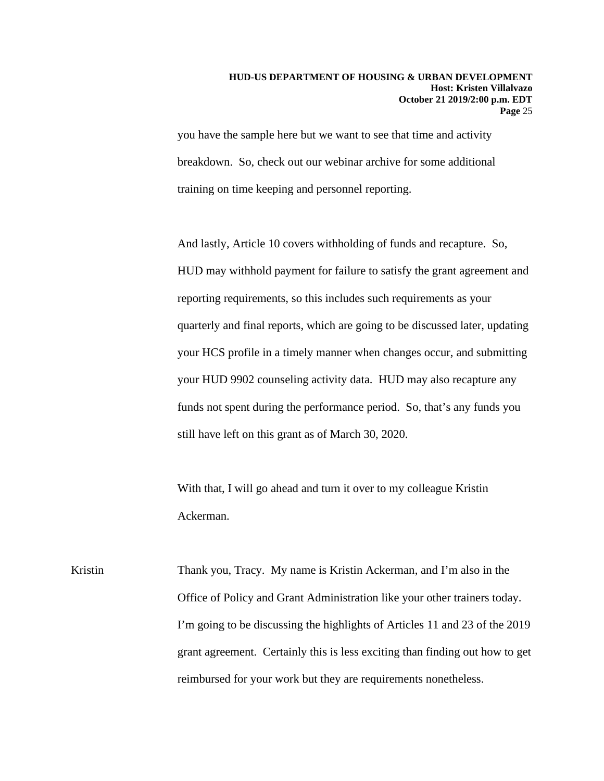you have the sample here but we want to see that time and activity breakdown. So, check out our webinar archive for some additional training on time keeping and personnel reporting.

And lastly, Article 10 covers withholding of funds and recapture. So, HUD may withhold payment for failure to satisfy the grant agreement and reporting requirements, so this includes such requirements as your quarterly and final reports, which are going to be discussed later, updating your HCS profile in a timely manner when changes occur, and submitting your HUD 9902 counseling activity data. HUD may also recapture any funds not spent during the performance period. So, that's any funds you still have left on this grant as of March 30, 2020.

With that, I will go ahead and turn it over to my colleague Kristin Ackerman.

Kristin Thank you, Tracy. My name is Kristin Ackerman, and I'm also in the Office of Policy and Grant Administration like your other trainers today. I'm going to be discussing the highlights of Articles 11 and 23 of the 2019 grant agreement. Certainly this is less exciting than finding out how to get reimbursed for your work but they are requirements nonetheless.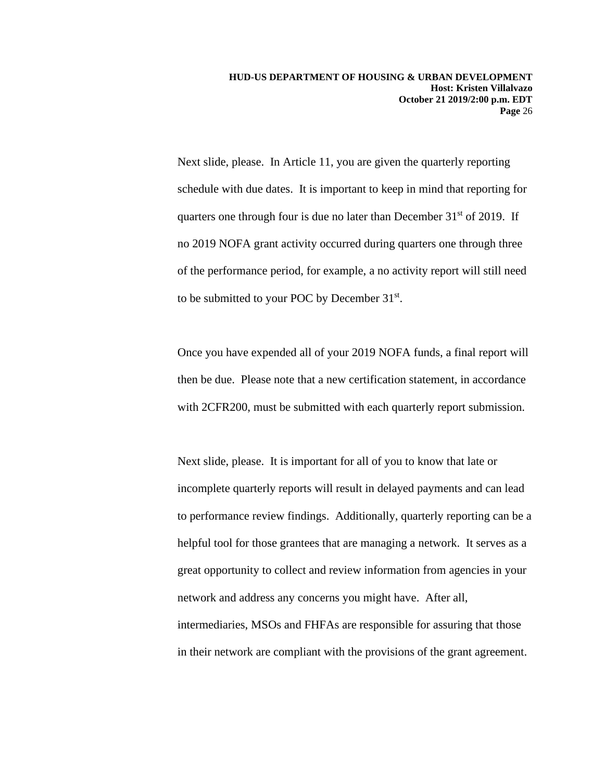Next slide, please. In Article 11, you are given the quarterly reporting schedule with due dates. It is important to keep in mind that reporting for quarters one through four is due no later than December  $31<sup>st</sup>$  of 2019. If no 2019 NOFA grant activity occurred during quarters one through three of the performance period, for example, a no activity report will still need to be submitted to your POC by December 31st.

Once you have expended all of your 2019 NOFA funds, a final report will then be due. Please note that a new certification statement, in accordance with 2CFR<sub>200</sub>, must be submitted with each quarterly report submission.

Next slide, please. It is important for all of you to know that late or incomplete quarterly reports will result in delayed payments and can lead to performance review findings. Additionally, quarterly reporting can be a helpful tool for those grantees that are managing a network. It serves as a great opportunity to collect and review information from agencies in your network and address any concerns you might have. After all, intermediaries, MSOs and FHFAs are responsible for assuring that those in their network are compliant with the provisions of the grant agreement.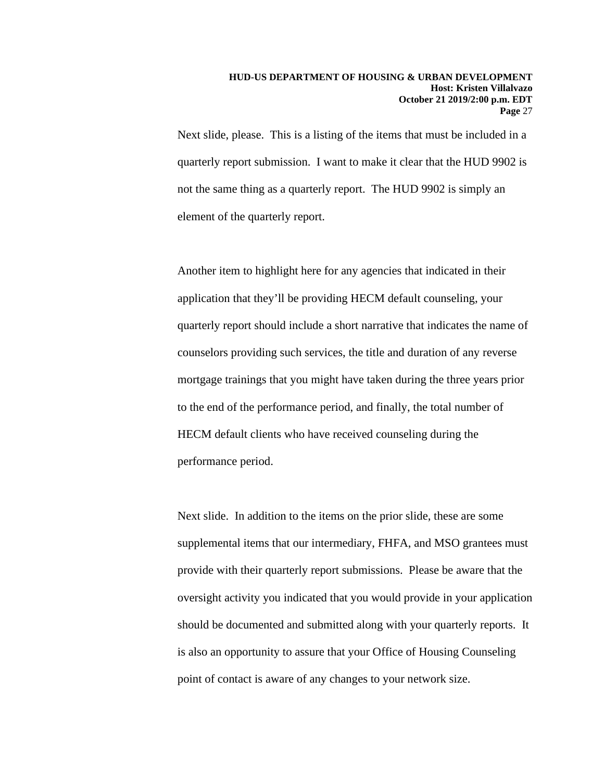Next slide, please. This is a listing of the items that must be included in a quarterly report submission. I want to make it clear that the HUD 9902 is not the same thing as a quarterly report. The HUD 9902 is simply an element of the quarterly report.

Another item to highlight here for any agencies that indicated in their application that they'll be providing HECM default counseling, your quarterly report should include a short narrative that indicates the name of counselors providing such services, the title and duration of any reverse mortgage trainings that you might have taken during the three years prior to the end of the performance period, and finally, the total number of HECM default clients who have received counseling during the performance period.

Next slide. In addition to the items on the prior slide, these are some supplemental items that our intermediary, FHFA, and MSO grantees must provide with their quarterly report submissions. Please be aware that the oversight activity you indicated that you would provide in your application should be documented and submitted along with your quarterly reports. It is also an opportunity to assure that your Office of Housing Counseling point of contact is aware of any changes to your network size.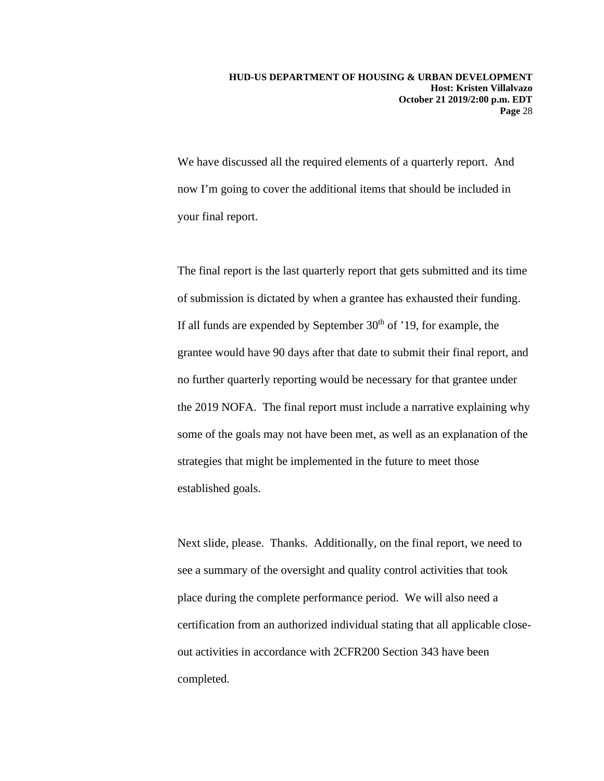We have discussed all the required elements of a quarterly report. And now I'm going to cover the additional items that should be included in your final report.

The final report is the last quarterly report that gets submitted and its time of submission is dictated by when a grantee has exhausted their funding. If all funds are expended by September  $30<sup>th</sup>$  of '19, for example, the grantee would have 90 days after that date to submit their final report, and no further quarterly reporting would be necessary for that grantee under the 2019 NOFA. The final report must include a narrative explaining why some of the goals may not have been met, as well as an explanation of the strategies that might be implemented in the future to meet those established goals.

Next slide, please. Thanks. Additionally, on the final report, we need to see a summary of the oversight and quality control activities that took place during the complete performance period. We will also need a certification from an authorized individual stating that all applicable closeout activities in accordance with 2CFR200 Section 343 have been completed.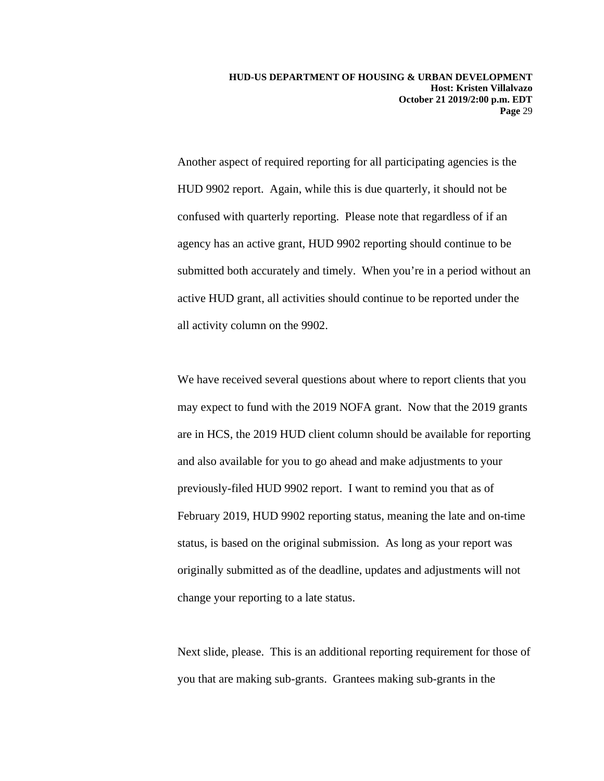Another aspect of required reporting for all participating agencies is the HUD 9902 report. Again, while this is due quarterly, it should not be confused with quarterly reporting. Please note that regardless of if an agency has an active grant, HUD 9902 reporting should continue to be submitted both accurately and timely. When you're in a period without an active HUD grant, all activities should continue to be reported under the all activity column on the 9902.

We have received several questions about where to report clients that you may expect to fund with the 2019 NOFA grant. Now that the 2019 grants are in HCS, the 2019 HUD client column should be available for reporting and also available for you to go ahead and make adjustments to your previously-filed HUD 9902 report. I want to remind you that as of February 2019, HUD 9902 reporting status, meaning the late and on-time status, is based on the original submission. As long as your report was originally submitted as of the deadline, updates and adjustments will not change your reporting to a late status.

Next slide, please. This is an additional reporting requirement for those of you that are making sub-grants. Grantees making sub-grants in the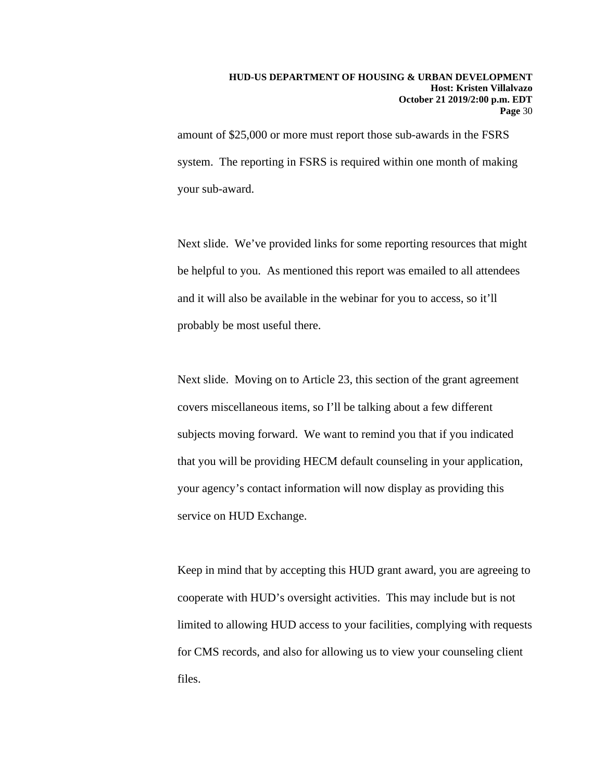amount of \$25,000 or more must report those sub-awards in the FSRS system. The reporting in FSRS is required within one month of making your sub-award.

Next slide. We've provided links for some reporting resources that might be helpful to you. As mentioned this report was emailed to all attendees and it will also be available in the webinar for you to access, so it'll probably be most useful there.

Next slide. Moving on to Article 23, this section of the grant agreement covers miscellaneous items, so I'll be talking about a few different subjects moving forward. We want to remind you that if you indicated that you will be providing HECM default counseling in your application, your agency's contact information will now display as providing this service on HUD Exchange.

Keep in mind that by accepting this HUD grant award, you are agreeing to cooperate with HUD's oversight activities. This may include but is not limited to allowing HUD access to your facilities, complying with requests for CMS records, and also for allowing us to view your counseling client files.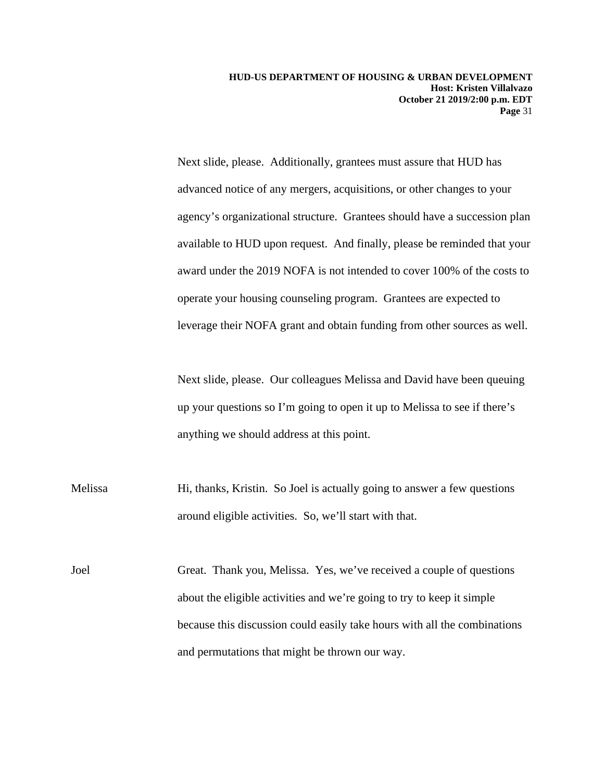Next slide, please. Additionally, grantees must assure that HUD has advanced notice of any mergers, acquisitions, or other changes to your agency's organizational structure. Grantees should have a succession plan available to HUD upon request. And finally, please be reminded that your award under the 2019 NOFA is not intended to cover 100% of the costs to operate your housing counseling program. Grantees are expected to leverage their NOFA grant and obtain funding from other sources as well.

Next slide, please. Our colleagues Melissa and David have been queuing up your questions so I'm going to open it up to Melissa to see if there's anything we should address at this point.

Melissa Hi, thanks, Kristin. So Joel is actually going to answer a few questions around eligible activities. So, we'll start with that.

Joel Great. Thank you, Melissa. Yes, we've received a couple of questions about the eligible activities and we're going to try to keep it simple because this discussion could easily take hours with all the combinations and permutations that might be thrown our way.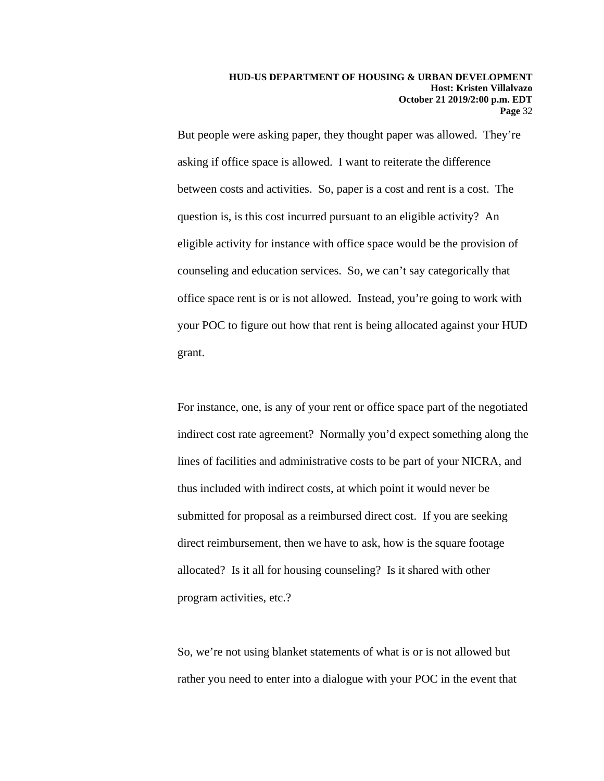But people were asking paper, they thought paper was allowed. They're asking if office space is allowed. I want to reiterate the difference between costs and activities. So, paper is a cost and rent is a cost. The question is, is this cost incurred pursuant to an eligible activity? An eligible activity for instance with office space would be the provision of counseling and education services. So, we can't say categorically that office space rent is or is not allowed. Instead, you're going to work with your POC to figure out how that rent is being allocated against your HUD grant.

For instance, one, is any of your rent or office space part of the negotiated indirect cost rate agreement? Normally you'd expect something along the lines of facilities and administrative costs to be part of your NICRA, and thus included with indirect costs, at which point it would never be submitted for proposal as a reimbursed direct cost. If you are seeking direct reimbursement, then we have to ask, how is the square footage allocated? Is it all for housing counseling? Is it shared with other program activities, etc.?

So, we're not using blanket statements of what is or is not allowed but rather you need to enter into a dialogue with your POC in the event that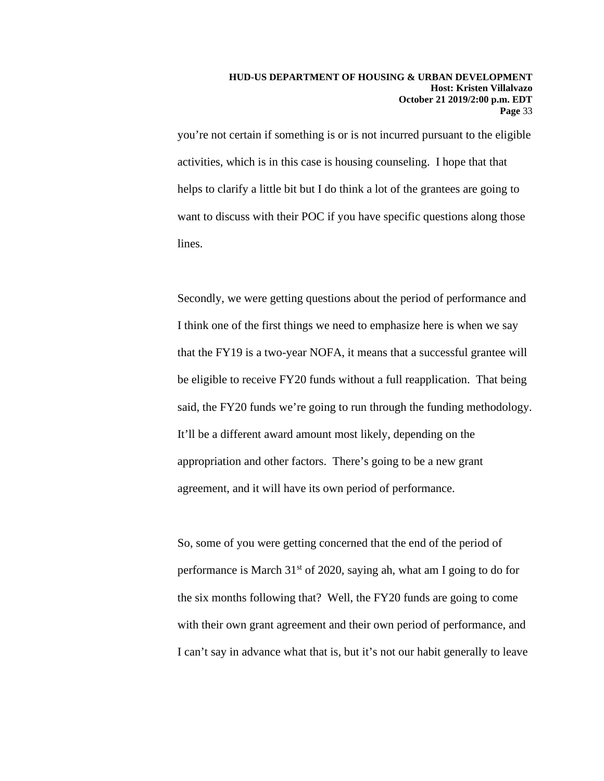you're not certain if something is or is not incurred pursuant to the eligible activities, which is in this case is housing counseling. I hope that that helps to clarify a little bit but I do think a lot of the grantees are going to want to discuss with their POC if you have specific questions along those lines.

Secondly, we were getting questions about the period of performance and I think one of the first things we need to emphasize here is when we say that the FY19 is a two-year NOFA, it means that a successful grantee will be eligible to receive FY20 funds without a full reapplication. That being said, the FY20 funds we're going to run through the funding methodology. It'll be a different award amount most likely, depending on the appropriation and other factors. There's going to be a new grant agreement, and it will have its own period of performance.

So, some of you were getting concerned that the end of the period of performance is March  $31<sup>st</sup>$  of 2020, saying ah, what am I going to do for the six months following that? Well, the FY20 funds are going to come with their own grant agreement and their own period of performance, and I can't say in advance what that is, but it's not our habit generally to leave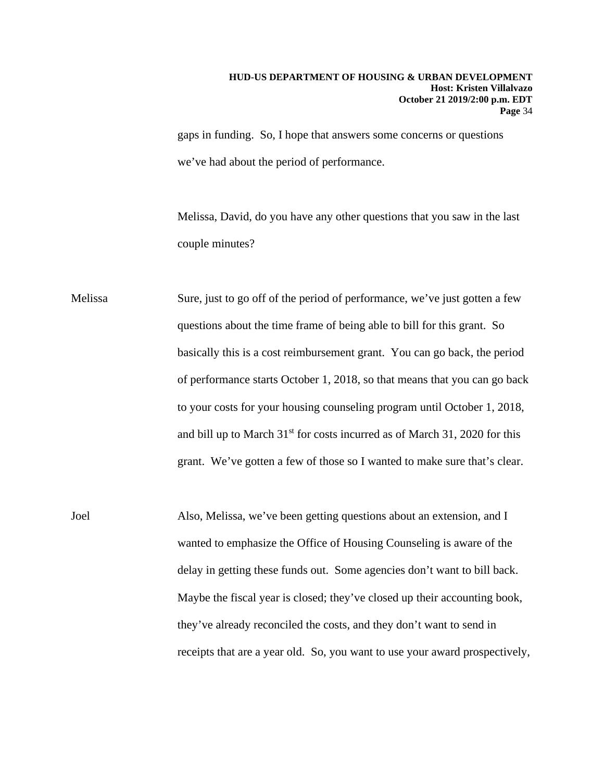gaps in funding. So, I hope that answers some concerns or questions we've had about the period of performance.

Melissa, David, do you have any other questions that you saw in the last couple minutes?

Melissa Sure, just to go off of the period of performance, we've just gotten a few questions about the time frame of being able to bill for this grant. So basically this is a cost reimbursement grant. You can go back, the period of performance starts October 1, 2018, so that means that you can go back to your costs for your housing counseling program until October 1, 2018, and bill up to March  $31<sup>st</sup>$  for costs incurred as of March 31, 2020 for this grant. We've gotten a few of those so I wanted to make sure that's clear.

Joel Also, Melissa, we've been getting questions about an extension, and I wanted to emphasize the Office of Housing Counseling is aware of the delay in getting these funds out. Some agencies don't want to bill back. Maybe the fiscal year is closed; they've closed up their accounting book, they've already reconciled the costs, and they don't want to send in receipts that are a year old. So, you want to use your award prospectively,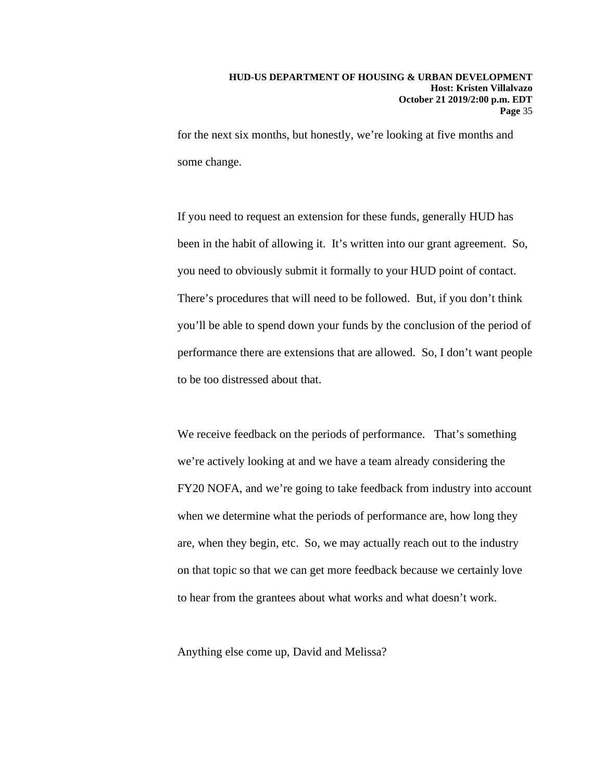for the next six months, but honestly, we're looking at five months and some change.

If you need to request an extension for these funds, generally HUD has been in the habit of allowing it. It's written into our grant agreement. So, you need to obviously submit it formally to your HUD point of contact. There's procedures that will need to be followed. But, if you don't think you'll be able to spend down your funds by the conclusion of the period of performance there are extensions that are allowed. So, I don't want people to be too distressed about that.

We receive feedback on the periods of performance. That's something we're actively looking at and we have a team already considering the FY20 NOFA, and we're going to take feedback from industry into account when we determine what the periods of performance are, how long they are, when they begin, etc. So, we may actually reach out to the industry on that topic so that we can get more feedback because we certainly love to hear from the grantees about what works and what doesn't work.

Anything else come up, David and Melissa?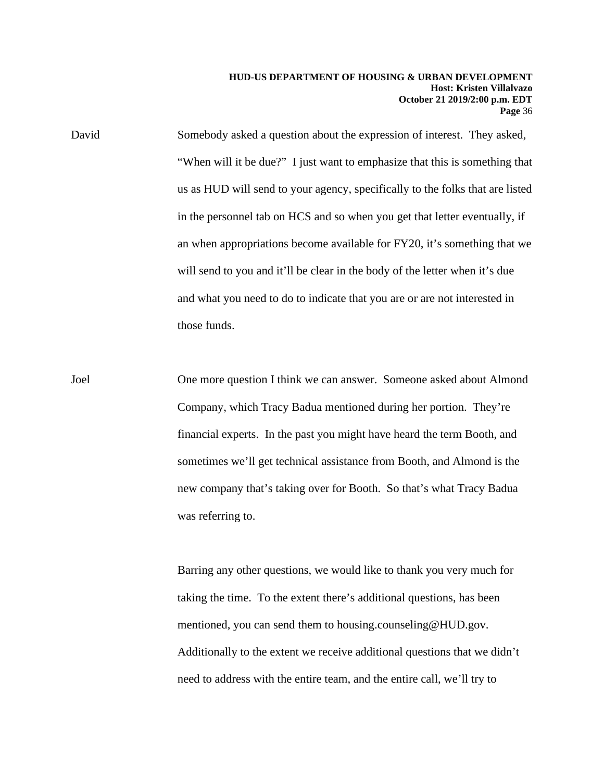David Somebody asked a question about the expression of interest. They asked, "When will it be due?" I just want to emphasize that this is something that us as HUD will send to your agency, specifically to the folks that are listed in the personnel tab on HCS and so when you get that letter eventually, if an when appropriations become available for FY20, it's something that we will send to you and it'll be clear in the body of the letter when it's due and what you need to do to indicate that you are or are not interested in those funds.

Joel One more question I think we can answer. Someone asked about Almond Company, which Tracy Badua mentioned during her portion. They're financial experts. In the past you might have heard the term Booth, and sometimes we'll get technical assistance from Booth, and Almond is the new company that's taking over for Booth. So that's what Tracy Badua was referring to.

> Barring any other questions, we would like to thank you very much for taking the time. To the extent there's additional questions, has been mentioned, you can send them to housing.counseling@HUD.gov. Additionally to the extent we receive additional questions that we didn't need to address with the entire team, and the entire call, we'll try to